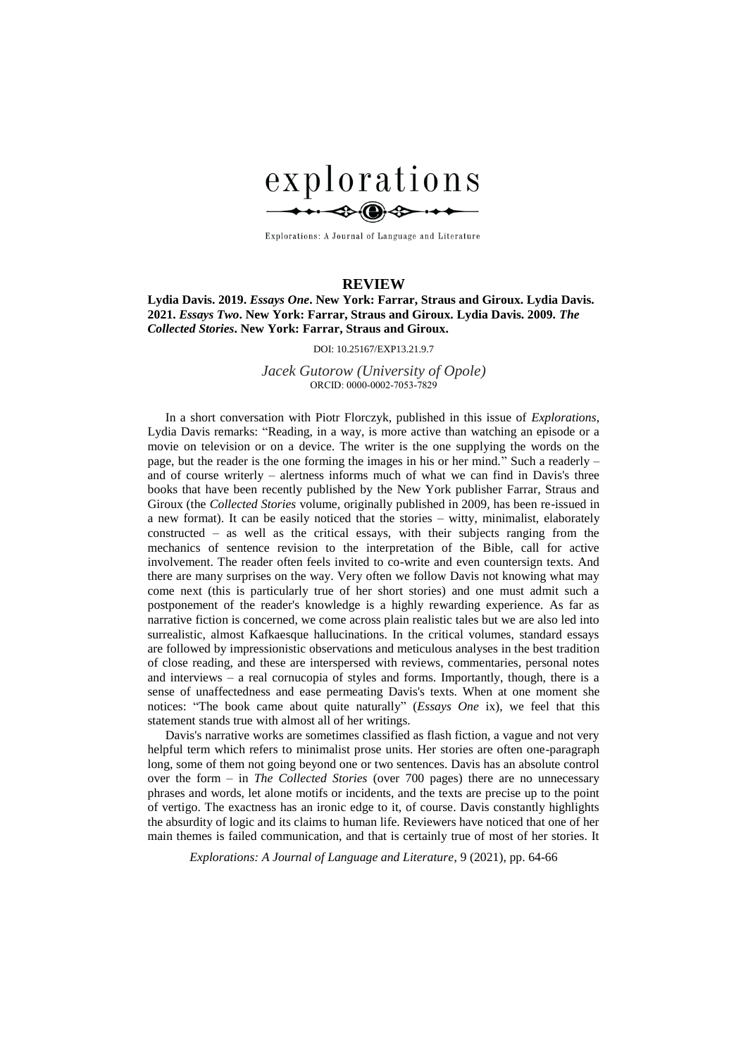

Explorations: A Journal of Language and Literature

## **REVIEW**

**Lydia Davis. 2019.** *Essays One***. New York: Farrar, Straus and Giroux. Lydia Davis. 2021.** *Essays Two***. New York: Farrar, Straus and Giroux. Lydia Davis. 2009.** *The Collected Stories***. New York: Farrar, Straus and Giroux.**

DOI: 10.25167/EXP13.21.9.7

## *Jacek Gutorow (University of Opole)* ORCID: 0000-0002-7053-7829

In a short conversation with Piotr Florczyk, published in this issue of *Explorations*, Lydia Davis remarks: "Reading, in a way, is more active than watching an episode or a movie on television or on a device. The writer is the one supplying the words on the page, but the reader is the one forming the images in his or her mind." Such a readerly – and of course writerly – alertness informs much of what we can find in Davis's three books that have been recently published by the New York publisher Farrar, Straus and Giroux (the *Collected Stories* volume, originally published in 2009, has been re-issued in a new format). It can be easily noticed that the stories – witty, minimalist, elaborately constructed – as well as the critical essays, with their subjects ranging from the mechanics of sentence revision to the interpretation of the Bible, call for active involvement. The reader often feels invited to co-write and even countersign texts. And there are many surprises on the way. Very often we follow Davis not knowing what may come next (this is particularly true of her short stories) and one must admit such a postponement of the reader's knowledge is a highly rewarding experience. As far as narrative fiction is concerned, we come across plain realistic tales but we are also led into surrealistic, almost Kafkaesque hallucinations. In the critical volumes, standard essays are followed by impressionistic observations and meticulous analyses in the best tradition of close reading, and these are interspersed with reviews, commentaries, personal notes and interviews – a real cornucopia of styles and forms. Importantly, though, there is a sense of unaffectedness and ease permeating Davis's texts. When at one moment she notices: "The book came about quite naturally" (*Essays One* ix), we feel that this statement stands true with almost all of her writings.

Davis's narrative works are sometimes classified as flash fiction, a vague and not very helpful term which refers to minimalist prose units. Her stories are often one-paragraph long, some of them not going beyond one or two sentences. Davis has an absolute control over the form – in *The Collected Stories* (over 700 pages) there are no unnecessary phrases and words, let alone motifs or incidents, and the texts are precise up to the point of vertigo. The exactness has an ironic edge to it, of course. Davis constantly highlights the absurdity of logic and its claims to human life. Reviewers have noticed that one of her main themes is failed communication, and that is certainly true of most of her stories. It

*Explorations: A Journal of Language and Literature*, 9 (2021), pp. 64-66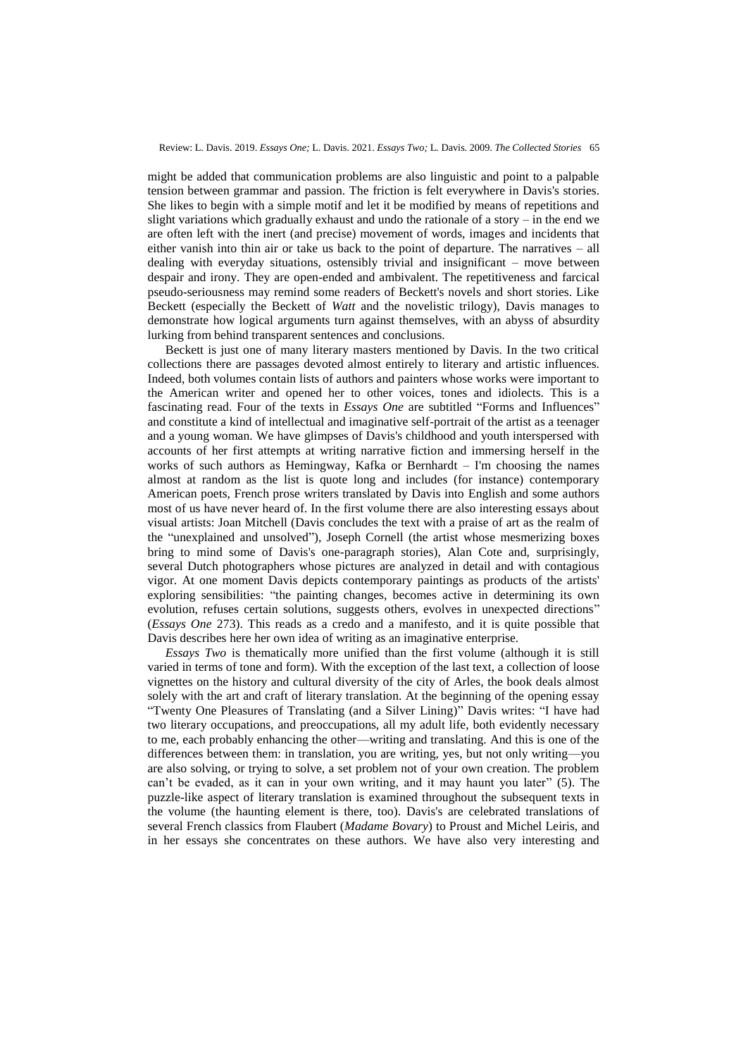might be added that communication problems are also linguistic and point to a palpable tension between grammar and passion. The friction is felt everywhere in Davis's stories. She likes to begin with a simple motif and let it be modified by means of repetitions and slight variations which gradually exhaust and undo the rationale of a story – in the end we are often left with the inert (and precise) movement of words, images and incidents that either vanish into thin air or take us back to the point of departure. The narratives – all dealing with everyday situations, ostensibly trivial and insignificant – move between despair and irony. They are open-ended and ambivalent. The repetitiveness and farcical pseudo-seriousness may remind some readers of Beckett's novels and short stories. Like Beckett (especially the Beckett of *Watt* and the novelistic trilogy), Davis manages to demonstrate how logical arguments turn against themselves, with an abyss of absurdity lurking from behind transparent sentences and conclusions.

Beckett is just one of many literary masters mentioned by Davis. In the two critical collections there are passages devoted almost entirely to literary and artistic influences. Indeed, both volumes contain lists of authors and painters whose works were important to the American writer and opened her to other voices, tones and idiolects. This is a fascinating read. Four of the texts in *Essays One* are subtitled "Forms and Influences" and constitute a kind of intellectual and imaginative self-portrait of the artist as a teenager and a young woman. We have glimpses of Davis's childhood and youth interspersed with accounts of her first attempts at writing narrative fiction and immersing herself in the works of such authors as Hemingway, Kafka or Bernhardt – I'm choosing the names almost at random as the list is quote long and includes (for instance) contemporary American poets, French prose writers translated by Davis into English and some authors most of us have never heard of. In the first volume there are also interesting essays about visual artists: Joan Mitchell (Davis concludes the text with a praise of art as the realm of the "unexplained and unsolved"), Joseph Cornell (the artist whose mesmerizing boxes bring to mind some of Davis's one-paragraph stories), Alan Cote and, surprisingly, several Dutch photographers whose pictures are analyzed in detail and with contagious vigor. At one moment Davis depicts contemporary paintings as products of the artists' exploring sensibilities: "the painting changes, becomes active in determining its own evolution, refuses certain solutions, suggests others, evolves in unexpected directions" (*Essays One* 273). This reads as a credo and a manifesto, and it is quite possible that Davis describes here her own idea of writing as an imaginative enterprise.

*Essays Two* is thematically more unified than the first volume (although it is still varied in terms of tone and form). With the exception of the last text, a collection of loose vignettes on the history and cultural diversity of the city of Arles, the book deals almost solely with the art and craft of literary translation. At the beginning of the opening essay "Twenty One Pleasures of Translating (and a Silver Lining)" Davis writes: "I have had two literary occupations, and preoccupations, all my adult life, both evidently necessary to me, each probably enhancing the other—writing and translating. And this is one of the differences between them: in translation, you are writing, yes, but not only writing—you are also solving, or trying to solve, a set problem not of your own creation. The problem can't be evaded, as it can in your own writing, and it may haunt you later" (5). The puzzle-like aspect of literary translation is examined throughout the subsequent texts in the volume (the haunting element is there, too). Davis's are celebrated translations of several French classics from Flaubert (*Madame Bovary*) to Proust and Michel Leiris, and in her essays she concentrates on these authors. We have also very interesting and